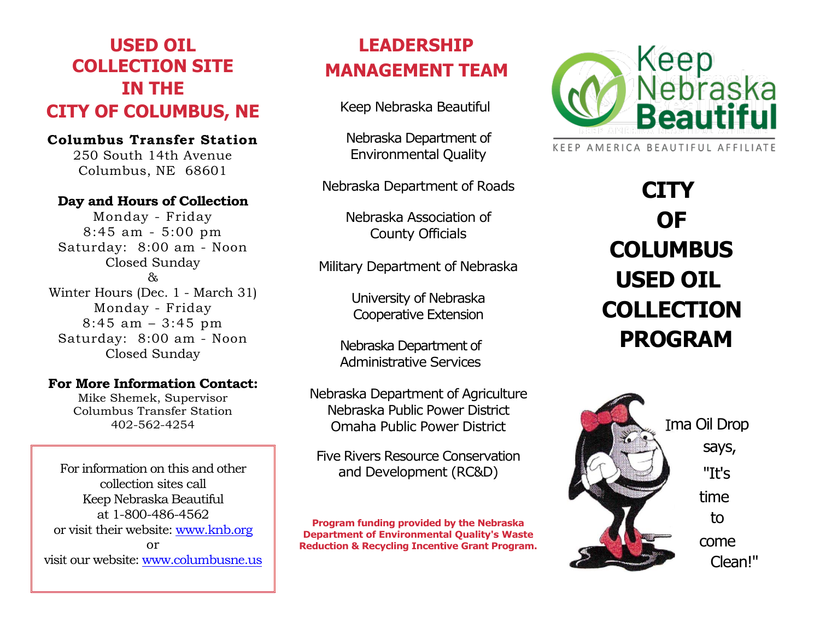# **USED OIL COLLECTION SITE IN THE CITY OF COLUMBUS, NE**

### **Columbus Transfer Station**

250 South 14th Avenue Columbus, NE 68601

## **Day and Hours of Collection**

Monday - Friday 8:45 am - 5:00 pm Saturday: 8:00 am - Noon Closed Sunday  $\lambda$ Winter Hours (Dec. 1 - March 31) Monday - Friday 8:45 am – 3:45 pm Saturday: 8:00 am - Noon Closed Sunday

#### **For More Information Contact:**

Mike Shemek, Supervisor Columbus Transfer Station 402-562-4254

For information on this and other collection sites call Keep Nebraska Beautiful at 1-800-486-4562 or visit their website: [www.knb.org](http://www.knb.org/) or visit our website: [www.columbusne.us](http://www.columbusne.us/)

# **LEADERSHIP MANAGEMENT TEAM**

Keep Nebraska Beautiful

Nebraska Department of Environmental Quality

Nebraska Department of Roads

Nebraska Association of County Officials

Military Department of Nebraska

University of Nebraska Cooperative Extension

Nebraska Department of Administrative Services

Nebraska Department of Agriculture Nebraska Public Power District Omaha Public Power District

Five Rivers Resource Conservation and Development (RC&D)

**Program funding provided by the Nebraska Department of Environmental Quality's Waste Reduction & Recycling Incentive Grant Program.**



KEEP AMERICA BEAUTIFUL AFFILIATE

**CITY OF COLUMBUS USED OIL COLLECTION PROGRAM**